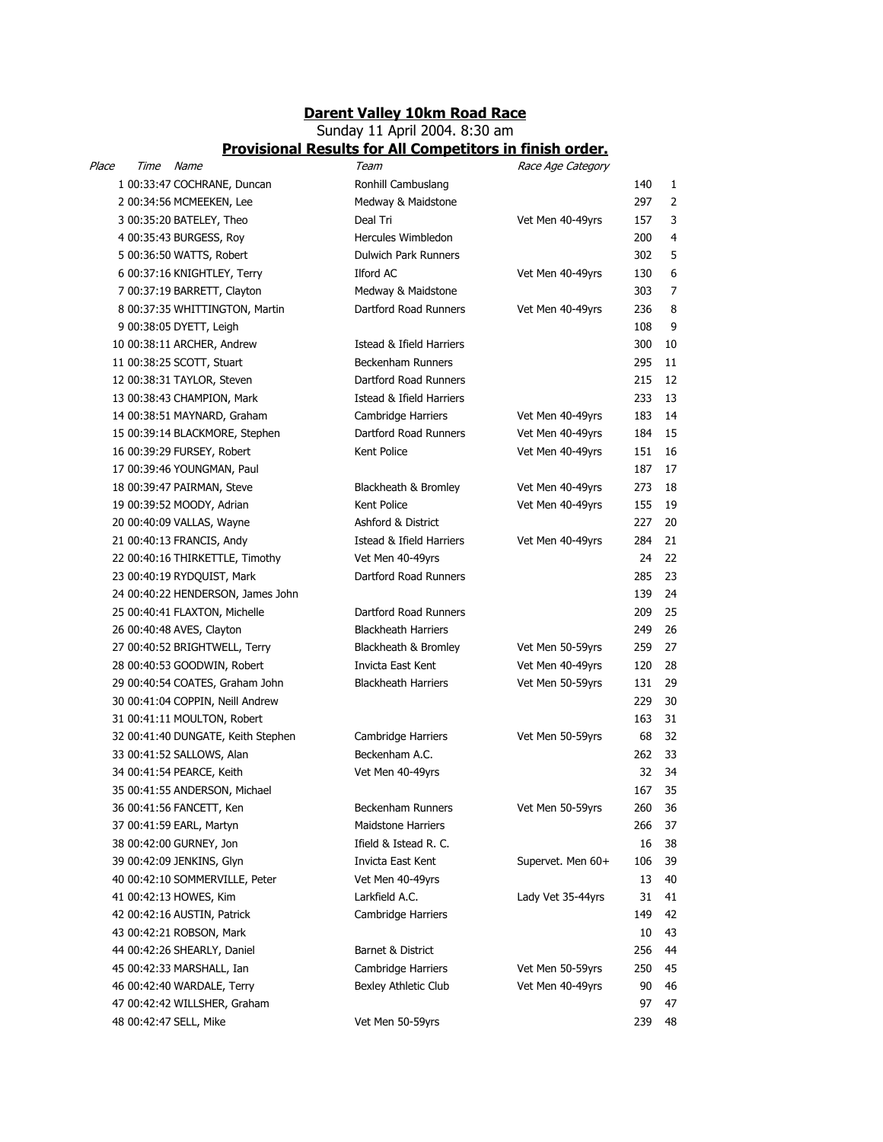## Darent Valley 10km Road Race

## Sunday 11 April 2004. 8:30 am Provisional Results for All Competitors in finish order.

| Place | Time Name |                                    | Team                       | Race Age Category |     |    |
|-------|-----------|------------------------------------|----------------------------|-------------------|-----|----|
|       |           | 1 00:33:47 COCHRANE, Duncan        | Ronhill Cambuslang         |                   | 140 | 1  |
|       |           | 2 00:34:56 MCMEEKEN, Lee           | Medway & Maidstone         |                   | 297 | 2  |
|       |           | 3 00:35:20 BATELEY, Theo           | Deal Tri                   | Vet Men 40-49yrs  | 157 | 3  |
|       |           | 4 00:35:43 BURGESS, Roy            | Hercules Wimbledon         |                   | 200 | 4  |
|       |           | 5 00:36:50 WATTS, Robert           | Dulwich Park Runners       |                   | 302 | 5  |
|       |           | 6 00:37:16 KNIGHTLEY, Terry        | Ilford AC                  | Vet Men 40-49yrs  | 130 | 6  |
|       |           | 7 00:37:19 BARRETT, Clayton        | Medway & Maidstone         |                   | 303 | 7  |
|       |           | 8 00:37:35 WHITTINGTON, Martin     | Dartford Road Runners      | Vet Men 40-49yrs  | 236 | 8  |
|       |           | 9 00:38:05 DYETT, Leigh            |                            |                   | 108 | 9  |
|       |           | 10 00:38:11 ARCHER, Andrew         | Istead & Ifield Harriers   |                   | 300 | 10 |
|       |           | 11 00:38:25 SCOTT, Stuart          | <b>Beckenham Runners</b>   |                   | 295 | 11 |
|       |           | 12 00:38:31 TAYLOR, Steven         | Dartford Road Runners      |                   | 215 | 12 |
|       |           | 13 00:38:43 CHAMPION, Mark         | Istead & Ifield Harriers   |                   | 233 | 13 |
|       |           | 14 00:38:51 MAYNARD, Graham        | Cambridge Harriers         | Vet Men 40-49yrs  | 183 | 14 |
|       |           | 15 00:39:14 BLACKMORE, Stephen     | Dartford Road Runners      | Vet Men 40-49yrs  | 184 | 15 |
|       |           | 16 00:39:29 FURSEY, Robert         | Kent Police                | Vet Men 40-49yrs  | 151 | 16 |
|       |           | 17 00:39:46 YOUNGMAN, Paul         |                            |                   | 187 | 17 |
|       |           | 18 00:39:47 PAIRMAN, Steve         | Blackheath & Bromley       | Vet Men 40-49yrs  | 273 | 18 |
|       |           | 19 00:39:52 MOODY, Adrian          | Kent Police                | Vet Men 40-49yrs  | 155 | 19 |
|       |           | 20 00:40:09 VALLAS, Wayne          | Ashford & District         |                   | 227 | 20 |
|       |           | 21 00:40:13 FRANCIS, Andy          | Istead & Ifield Harriers   | Vet Men 40-49yrs  | 284 | 21 |
|       |           | 22 00:40:16 THIRKETTLE, Timothy    | Vet Men 40-49yrs           |                   | 24  | 22 |
|       |           | 23 00:40:19 RYDQUIST, Mark         | Dartford Road Runners      |                   | 285 | 23 |
|       |           | 24 00:40:22 HENDERSON, James John  |                            |                   | 139 | 24 |
|       |           | 25 00:40:41 FLAXTON, Michelle      | Dartford Road Runners      |                   | 209 | 25 |
|       |           | 26 00:40:48 AVES, Clayton          | <b>Blackheath Harriers</b> |                   | 249 | 26 |
|       |           | 27 00:40:52 BRIGHTWELL, Terry      | Blackheath & Bromley       | Vet Men 50-59yrs  | 259 | 27 |
|       |           | 28 00:40:53 GOODWIN, Robert        | Invicta East Kent          | Vet Men 40-49yrs  | 120 | 28 |
|       |           | 29 00:40:54 COATES, Graham John    | <b>Blackheath Harriers</b> | Vet Men 50-59yrs  | 131 | 29 |
|       |           | 30 00:41:04 COPPIN, Neill Andrew   |                            |                   | 229 | 30 |
|       |           | 31 00:41:11 MOULTON, Robert        |                            |                   | 163 | 31 |
|       |           | 32 00:41:40 DUNGATE, Keith Stephen | Cambridge Harriers         | Vet Men 50-59yrs  | 68  | 32 |
|       |           | 33 00:41:52 SALLOWS, Alan          | Beckenham A.C.             |                   | 262 | 33 |
|       |           | 34 00:41:54 PEARCE, Keith          | Vet Men 40-49yrs           |                   | 32  | 34 |
|       |           | 35 00:41:55 ANDERSON, Michael      |                            |                   | 167 | 35 |
|       |           | 36 00:41:56 FANCETT, Ken           | Beckenham Runners          | Vet Men 50-59yrs  | 260 | 36 |
|       |           | 37 00:41:59 EARL, Martyn           | <b>Maidstone Harriers</b>  |                   | 266 | 37 |
|       |           | 38 00:42:00 GURNEY, Jon            | Ifield & Istead R. C.      |                   | 16  | 38 |
|       |           | 39 00:42:09 JENKINS, Glyn          | Invicta East Kent          | Supervet. Men 60+ | 106 | 39 |
|       |           | 40 00:42:10 SOMMERVILLE, Peter     | Vet Men 40-49yrs           |                   | 13  | 40 |
|       |           | 41 00:42:13 HOWES, Kim             | Larkfield A.C.             | Lady Vet 35-44yrs | 31  | 41 |
|       |           | 42 00:42:16 AUSTIN, Patrick        | Cambridge Harriers         |                   | 149 | 42 |
|       |           | 43 00:42:21 ROBSON, Mark           |                            |                   | 10  | 43 |
|       |           | 44 00:42:26 SHEARLY, Daniel        | Barnet & District          |                   | 256 | 44 |
|       |           | 45 00:42:33 MARSHALL, Ian          | Cambridge Harriers         | Vet Men 50-59yrs  | 250 | 45 |
|       |           | 46 00:42:40 WARDALE, Terry         | Bexley Athletic Club       | Vet Men 40-49yrs  | 90  | 46 |
|       |           | 47 00:42:42 WILLSHER, Graham       |                            |                   | 97  | 47 |
|       |           | 48 00:42:47 SELL, Mike             | Vet Men 50-59yrs           |                   | 239 | 48 |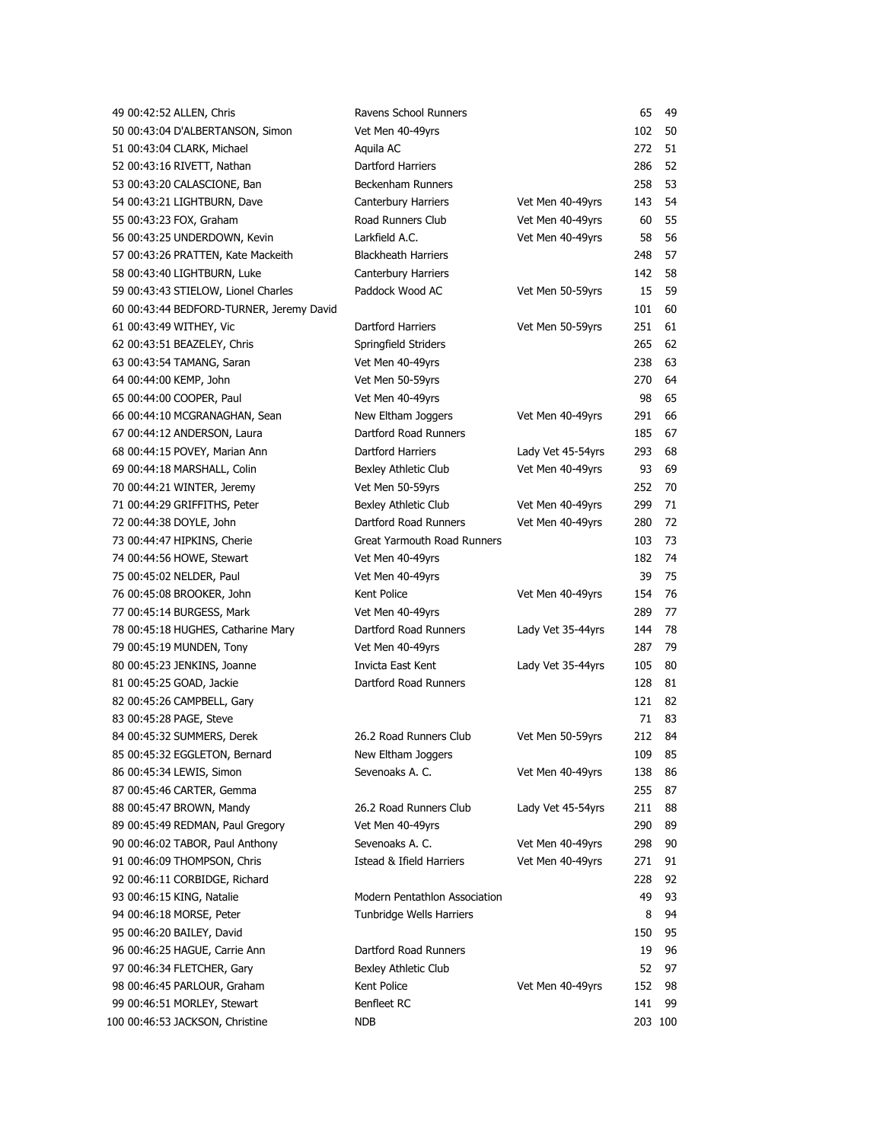| 49 00:42:52 ALLEN, Chris                 | Ravens School Runners         |                   | 65  | 49      |
|------------------------------------------|-------------------------------|-------------------|-----|---------|
| 50 00:43:04 D'ALBERTANSON, Simon         | Vet Men 40-49yrs              |                   | 102 | 50      |
| 51 00:43:04 CLARK, Michael               | Aquila AC                     |                   | 272 | 51      |
| 52 00:43:16 RIVETT, Nathan               | Dartford Harriers             |                   | 286 | 52      |
| 53 00:43:20 CALASCIONE, Ban              | Beckenham Runners             |                   | 258 | 53      |
| 54 00:43:21 LIGHTBURN, Dave              | Canterbury Harriers           | Vet Men 40-49yrs  | 143 | 54      |
| 55 00:43:23 FOX, Graham                  | Road Runners Club             | Vet Men 40-49yrs  | 60  | 55      |
| 56 00:43:25 UNDERDOWN, Kevin             | Larkfield A.C.                | Vet Men 40-49yrs  | 58  | 56      |
| 57 00:43:26 PRATTEN, Kate Mackeith       | <b>Blackheath Harriers</b>    |                   | 248 | 57      |
| 58 00:43:40 LIGHTBURN, Luke              | Canterbury Harriers           |                   | 142 | 58      |
| 59 00:43:43 STIELOW, Lionel Charles      | Paddock Wood AC               | Vet Men 50-59yrs  | 15  | 59      |
| 60 00:43:44 BEDFORD-TURNER, Jeremy David |                               |                   | 101 | 60      |
| 61 00:43:49 WITHEY, Vic                  | Dartford Harriers             | Vet Men 50-59yrs  | 251 | 61      |
| 62 00:43:51 BEAZELEY, Chris              | Springfield Striders          |                   | 265 | 62      |
| 63 00:43:54 TAMANG, Saran                | Vet Men 40-49yrs              |                   | 238 | 63      |
| 64 00:44:00 KEMP, John                   | Vet Men 50-59yrs              |                   | 270 | 64      |
| 65 00:44:00 COOPER, Paul                 | Vet Men 40-49yrs              |                   | 98  | 65      |
| 66 00:44:10 MCGRANAGHAN, Sean            | New Eltham Joggers            | Vet Men 40-49yrs  | 291 | 66      |
| 67 00:44:12 ANDERSON, Laura              | Dartford Road Runners         |                   | 185 | 67      |
| 68 00:44:15 POVEY, Marian Ann            | Dartford Harriers             | Lady Vet 45-54yrs | 293 | 68      |
| 69 00:44:18 MARSHALL, Colin              | Bexley Athletic Club          | Vet Men 40-49yrs  | 93  | 69      |
| 70 00:44:21 WINTER, Jeremy               | Vet Men 50-59yrs              |                   | 252 | 70      |
| 71 00:44:29 GRIFFITHS, Peter             | Bexley Athletic Club          | Vet Men 40-49yrs  | 299 | 71      |
| 72 00:44:38 DOYLE, John                  | Dartford Road Runners         | Vet Men 40-49yrs  | 280 | 72      |
| 73 00:44:47 HIPKINS, Cherie              | Great Yarmouth Road Runners   |                   | 103 | 73      |
| 74 00:44:56 HOWE, Stewart                | Vet Men 40-49yrs              |                   | 182 | 74      |
| 75 00:45:02 NELDER, Paul                 | Vet Men 40-49yrs              |                   | 39  | 75      |
| 76 00:45:08 BROOKER, John                | Kent Police                   | Vet Men 40-49yrs  | 154 | 76      |
| 77 00:45:14 BURGESS, Mark                | Vet Men 40-49yrs              |                   | 289 | 77      |
| 78 00:45:18 HUGHES, Catharine Mary       | Dartford Road Runners         | Lady Vet 35-44yrs | 144 | 78      |
| 79 00:45:19 MUNDEN, Tony                 | Vet Men 40-49yrs              |                   | 287 | 79      |
| 80 00:45:23 JENKINS, Joanne              | Invicta East Kent             | Lady Vet 35-44yrs | 105 | 80      |
| 81 00:45:25 GOAD, Jackie                 | Dartford Road Runners         |                   | 128 | 81      |
| 82 00:45:26 CAMPBELL, Gary               |                               |                   | 121 | 82      |
| 83 00:45:28 PAGE, Steve                  |                               |                   | 71  | 83      |
| 84 00:45:32 SUMMERS, Derek               | 26.2 Road Runners Club        | Vet Men 50-59yrs  | 212 | 84      |
| 85 00:45:32 EGGLETON, Bernard            | New Eltham Joggers            |                   | 109 | 85      |
| 86 00:45:34 LEWIS, Simon                 | Sevenoaks A. C.               | Vet Men 40-49yrs  | 138 | 86      |
| 87 00:45:46 CARTER, Gemma                |                               |                   | 255 | 87      |
| 88 00:45:47 BROWN, Mandy                 | 26.2 Road Runners Club        | Lady Vet 45-54yrs | 211 | 88      |
| 89 00:45:49 REDMAN, Paul Gregory         | Vet Men 40-49yrs              |                   | 290 | 89      |
| 90 00:46:02 TABOR, Paul Anthony          | Sevenoaks A. C.               | Vet Men 40-49yrs  | 298 | 90      |
| 91 00:46:09 THOMPSON, Chris              | Istead & Ifield Harriers      | Vet Men 40-49yrs  | 271 | 91      |
| 92 00:46:11 CORBIDGE, Richard            |                               |                   | 228 | 92      |
| 93 00:46:15 KING, Natalie                | Modern Pentathlon Association |                   | 49  | 93      |
| 94 00:46:18 MORSE, Peter                 | Tunbridge Wells Harriers      |                   | 8   | 94      |
| 95 00:46:20 BAILEY, David                |                               |                   | 150 | 95      |
| 96 00:46:25 HAGUE, Carrie Ann            | Dartford Road Runners         |                   | 19  | 96      |
| 97 00:46:34 FLETCHER, Gary               | Bexley Athletic Club          |                   | 52  | 97      |
| 98 00:46:45 PARLOUR, Graham              | Kent Police                   | Vet Men 40-49yrs  | 152 | 98      |
| 99 00:46:51 MORLEY, Stewart              | Benfleet RC                   |                   | 141 | 99      |
| 100 00:46:53 JACKSON, Christine          | <b>NDB</b>                    |                   |     | 203 100 |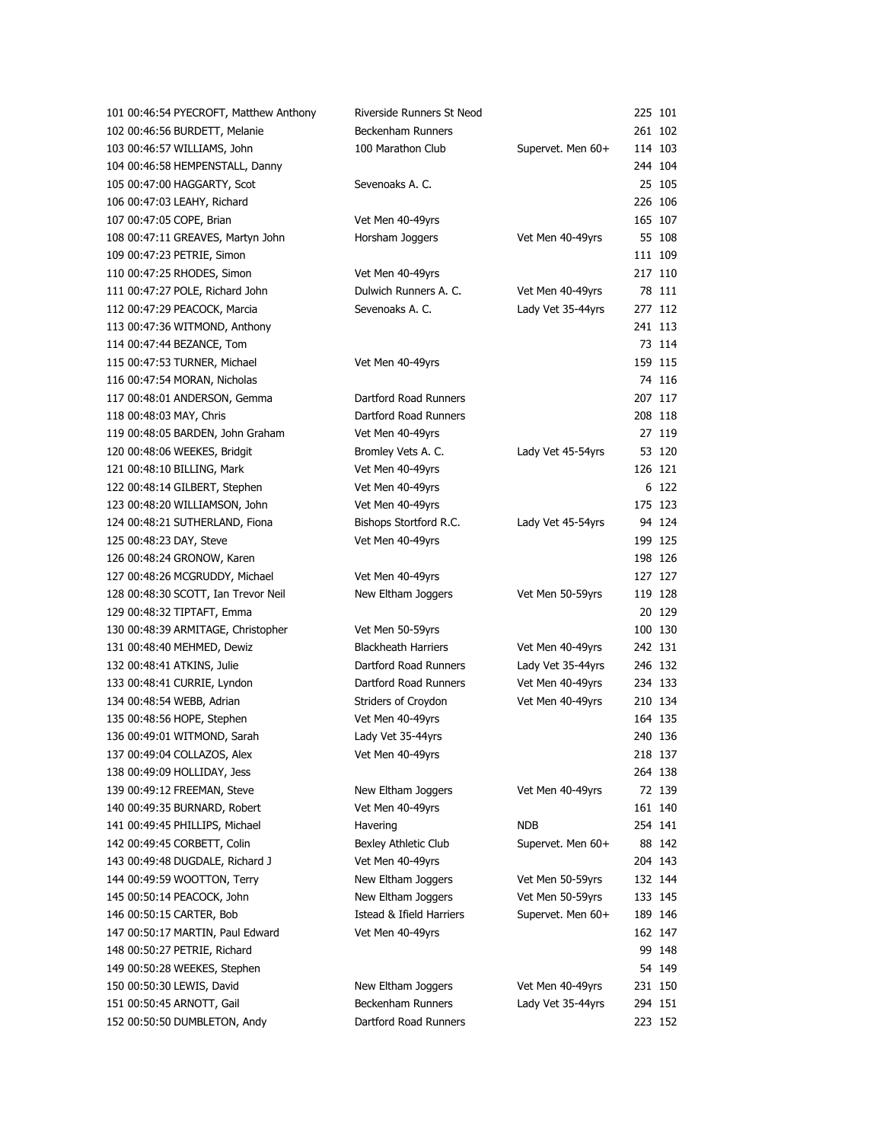| 101 00:46:54 PYECROFT, Matthew Anthony | Riverside Runners St Neod  |                   | 225 101 |         |
|----------------------------------------|----------------------------|-------------------|---------|---------|
| 102 00:46:56 BURDETT, Melanie          | <b>Beckenham Runners</b>   |                   |         | 261 102 |
| 103 00:46:57 WILLIAMS, John            | 100 Marathon Club          | Supervet. Men 60+ |         | 114 103 |
| 104 00:46:58 HEMPENSTALL, Danny        |                            |                   |         | 244 104 |
| 105 00:47:00 HAGGARTY, Scot            | Sevenoaks A. C.            |                   |         | 25 105  |
| 106 00:47:03 LEAHY, Richard            |                            |                   | 226 106 |         |
| 107 00:47:05 COPE, Brian               | Vet Men 40-49yrs           |                   |         | 165 107 |
| 108 00:47:11 GREAVES, Martyn John      | Horsham Joggers            | Vet Men 40-49yrs  |         | 55 108  |
| 109 00:47:23 PETRIE, Simon             |                            |                   | 111 109 |         |
| 110 00:47:25 RHODES, Simon             | Vet Men 40-49yrs           |                   | 217 110 |         |
| 111 00:47:27 POLE, Richard John        | Dulwich Runners A. C.      | Vet Men 40-49yrs  |         | 78 111  |
| 112 00:47:29 PEACOCK, Marcia           | Sevenoaks A. C.            | Lady Vet 35-44yrs |         | 277 112 |
| 113 00:47:36 WITMOND, Anthony          |                            |                   | 241 113 |         |
| 114 00:47:44 BEZANCE, Tom              |                            |                   |         | 73 114  |
| 115 00:47:53 TURNER, Michael           | Vet Men 40-49yrs           |                   |         | 159 115 |
| 116 00:47:54 MORAN, Nicholas           |                            |                   |         | 74 116  |
| 117 00:48:01 ANDERSON, Gemma           | Dartford Road Runners      |                   |         | 207 117 |
| 118 00:48:03 MAY, Chris                | Dartford Road Runners      |                   | 208 118 |         |
| 119 00:48:05 BARDEN, John Graham       | Vet Men 40-49yrs           |                   |         | 27 119  |
| 120 00:48:06 WEEKES, Bridgit           | Bromley Vets A. C.         | Lady Vet 45-54yrs |         | 53 120  |
| 121 00:48:10 BILLING, Mark             | Vet Men 40-49yrs           |                   | 126 121 |         |
| 122 00:48:14 GILBERT, Stephen          | Vet Men 40-49yrs           |                   |         | 6 122   |
| 123 00:48:20 WILLIAMSON, John          | Vet Men 40-49yrs           |                   |         | 175 123 |
| 124 00:48:21 SUTHERLAND, Fiona         | Bishops Stortford R.C.     | Lady Vet 45-54yrs |         | 94 124  |
| 125 00:48:23 DAY, Steve                | Vet Men 40-49yrs           |                   |         | 199 125 |
| 126 00:48:24 GRONOW, Karen             |                            |                   |         | 198 126 |
| 127 00:48:26 MCGRUDDY, Michael         | Vet Men 40-49yrs           |                   |         | 127 127 |
| 128 00:48:30 SCOTT, Ian Trevor Neil    | New Eltham Joggers         | Vet Men 50-59yrs  |         | 119 128 |
| 129 00:48:32 TIPTAFT, Emma             |                            |                   |         | 20 129  |
| 130 00:48:39 ARMITAGE, Christopher     | Vet Men 50-59yrs           |                   |         | 100 130 |
| 131 00:48:40 MEHMED, Dewiz             | <b>Blackheath Harriers</b> | Vet Men 40-49yrs  |         | 242 131 |
| 132 00:48:41 ATKINS, Julie             | Dartford Road Runners      | Lady Vet 35-44yrs |         | 246 132 |
| 133 00:48:41 CURRIE, Lyndon            | Dartford Road Runners      | Vet Men 40-49yrs  |         | 234 133 |
| 134 00:48:54 WEBB, Adrian              | Striders of Croydon        | Vet Men 40-49yrs  |         | 210 134 |
| 135 00:48:56 HOPE, Stephen             | Vet Men 40-49yrs           |                   |         | 164 135 |
| 136 00:49:01 WITMOND, Sarah            | Lady Vet 35-44yrs          |                   | 240 136 |         |
| 137 00:49:04 COLLAZOS, Alex            | Vet Men 40-49yrs           |                   |         | 218 137 |
| 138 00:49:09 HOLLIDAY, Jess            |                            |                   |         | 264 138 |
| 139 00:49:12 FREEMAN, Steve            | New Eltham Joggers         | Vet Men 40-49yrs  |         | 72 139  |
| 140 00:49:35 BURNARD, Robert           | Vet Men 40-49yrs           |                   |         | 161 140 |
| 141 00:49:45 PHILLIPS, Michael         | Havering                   | <b>NDB</b>        |         | 254 141 |
| 142 00:49:45 CORBETT, Colin            | Bexley Athletic Club       | Supervet. Men 60+ |         | 88 142  |
| 143 00:49:48 DUGDALE, Richard J        | Vet Men 40-49yrs           |                   |         | 204 143 |
| 144 00:49:59 WOOTTON, Terry            | New Eltham Joggers         | Vet Men 50-59yrs  |         | 132 144 |
| 145 00:50:14 PEACOCK, John             | New Eltham Joggers         | Vet Men 50-59yrs  |         | 133 145 |
| 146 00:50:15 CARTER, Bob               | Istead & Ifield Harriers   | Supervet. Men 60+ |         | 189 146 |
| 147 00:50:17 MARTIN, Paul Edward       | Vet Men 40-49yrs           |                   |         | 162 147 |
| 148 00:50:27 PETRIE, Richard           |                            |                   |         | 99 148  |
| 149 00:50:28 WEEKES, Stephen           |                            |                   |         | 54 149  |
| 150 00:50:30 LEWIS, David              | New Eltham Joggers         | Vet Men 40-49yrs  |         | 231 150 |
| 151 00:50:45 ARNOTT, Gail              | Beckenham Runners          | Lady Vet 35-44yrs |         | 294 151 |
| 152 00:50:50 DUMBLETON, Andy           | Dartford Road Runners      |                   |         | 223 152 |
|                                        |                            |                   |         |         |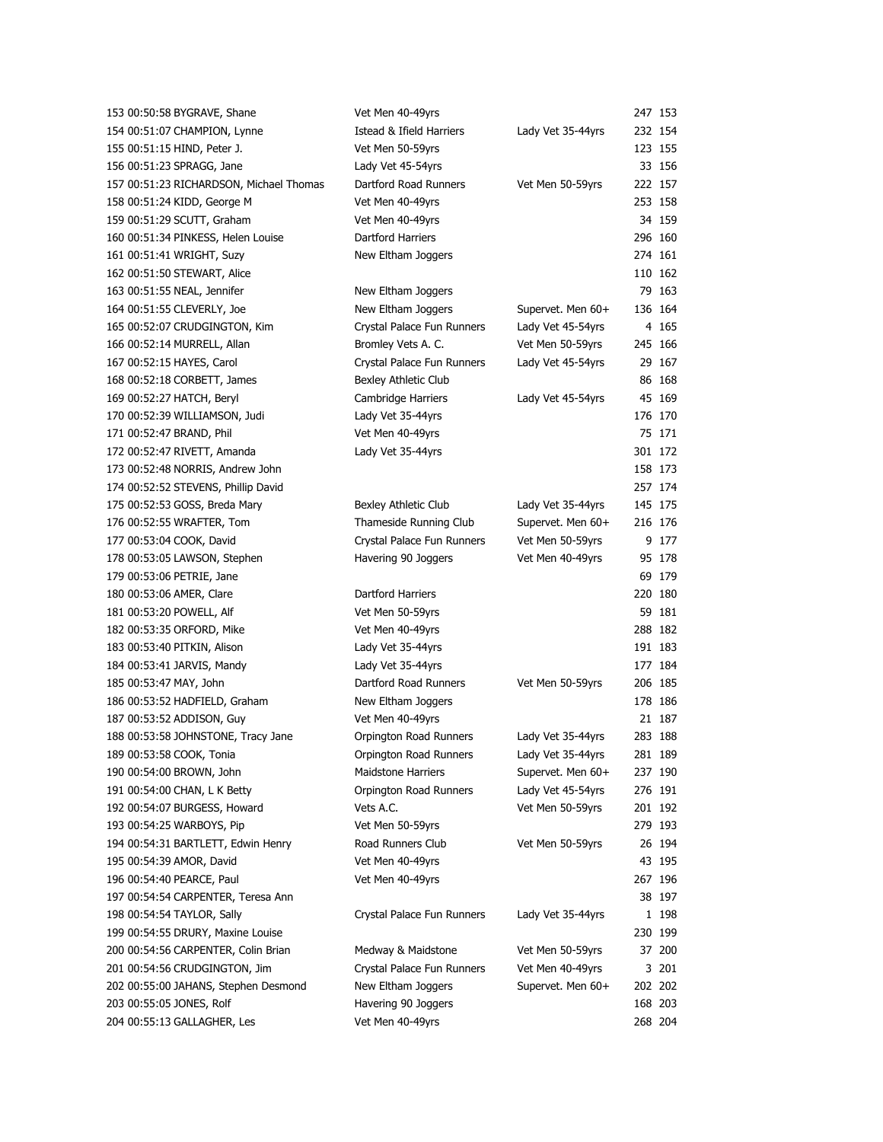| 153 00:50:58 BYGRAVE, Shane             | Vet Men 40-49yrs           |                   | 247 153 |         |
|-----------------------------------------|----------------------------|-------------------|---------|---------|
| 154 00:51:07 CHAMPION, Lynne            | Istead & Ifield Harriers   | Lady Vet 35-44yrs |         | 232 154 |
| 155 00:51:15 HIND, Peter J.             | Vet Men 50-59yrs           |                   |         | 123 155 |
| 156 00:51:23 SPRAGG, Jane               | Lady Vet 45-54yrs          |                   |         | 33 156  |
| 157 00:51:23 RICHARDSON, Michael Thomas | Dartford Road Runners      | Vet Men 50-59yrs  |         | 222 157 |
| 158 00:51:24 KIDD, George M             | Vet Men 40-49yrs           |                   |         | 253 158 |
| 159 00:51:29 SCUTT, Graham              | Vet Men 40-49yrs           |                   |         | 34 159  |
| 160 00:51:34 PINKESS, Helen Louise      | Dartford Harriers          |                   |         | 296 160 |
| 161 00:51:41 WRIGHT, Suzy               | New Eltham Joggers         |                   |         | 274 161 |
| 162 00:51:50 STEWART, Alice             |                            |                   |         | 110 162 |
| 163 00:51:55 NEAL, Jennifer             | New Eltham Joggers         |                   |         | 79 163  |
| 164 00:51:55 CLEVERLY, Joe              | New Eltham Joggers         | Supervet. Men 60+ |         | 136 164 |
| 165 00:52:07 CRUDGINGTON, Kim           | Crystal Palace Fun Runners | Lady Vet 45-54yrs |         | 4 165   |
| 166 00:52:14 MURRELL, Allan             | Bromley Vets A. C.         | Vet Men 50-59yrs  |         | 245 166 |
| 167 00:52:15 HAYES, Carol               | Crystal Palace Fun Runners | Lady Vet 45-54yrs |         | 29 167  |
| 168 00:52:18 CORBETT, James             | Bexley Athletic Club       |                   |         | 86 168  |
| 169 00:52:27 HATCH, Beryl               | Cambridge Harriers         | Lady Vet 45-54yrs |         | 45 169  |
| 170 00:52:39 WILLIAMSON, Judi           | Lady Vet 35-44yrs          |                   |         | 176 170 |
| 171 00:52:47 BRAND, Phil                | Vet Men 40-49yrs           |                   |         | 75 171  |
| 172 00:52:47 RIVETT, Amanda             | Lady Vet 35-44yrs          |                   |         | 301 172 |
| 173 00:52:48 NORRIS, Andrew John        |                            |                   |         | 158 173 |
| 174 00:52:52 STEVENS, Phillip David     |                            |                   |         | 257 174 |
| 175 00:52:53 GOSS, Breda Mary           | Bexley Athletic Club       | Lady Vet 35-44yrs |         | 145 175 |
| 176 00:52:55 WRAFTER, Tom               | Thameside Running Club     | Supervet. Men 60+ |         | 216 176 |
| 177 00:53:04 COOK, David                | Crystal Palace Fun Runners | Vet Men 50-59yrs  |         | 9 177   |
| 178 00:53:05 LAWSON, Stephen            | Havering 90 Joggers        | Vet Men 40-49yrs  |         | 95 178  |
| 179 00:53:06 PETRIE, Jane               |                            |                   |         | 69 179  |
| 180 00:53:06 AMER, Clare                | Dartford Harriers          |                   |         | 220 180 |
| 181 00:53:20 POWELL, Alf                | Vet Men 50-59yrs           |                   |         | 59 181  |
| 182 00:53:35 ORFORD, Mike               | Vet Men 40-49yrs           |                   |         | 288 182 |
| 183 00:53:40 PITKIN, Alison             | Lady Vet 35-44yrs          |                   |         | 191 183 |
| 184 00:53:41 JARVIS, Mandy              | Lady Vet 35-44yrs          |                   |         | 177 184 |
| 185 00:53:47 MAY, John                  | Dartford Road Runners      | Vet Men 50-59yrs  |         | 206 185 |
| 186 00:53:52 HADFIELD, Graham           | New Eltham Joggers         |                   |         | 178 186 |
| 187 00:53:52 ADDISON, Guy               | Vet Men 40-49yrs           |                   |         | 21 187  |
| 188 00:53:58 JOHNSTONE, Tracy Jane      | Orpington Road Runners     | Lady Vet 35-44yrs |         | 283 188 |
| 189 00:53:58 COOK, Tonia                | Orpington Road Runners     | Lady Vet 35-44yrs |         | 281 189 |
| 190 00:54:00 BROWN, John                | <b>Maidstone Harriers</b>  | Supervet. Men 60+ |         | 237 190 |
| 191 00:54:00 CHAN, L K Betty            | Orpington Road Runners     | Lady Vet 45-54yrs |         | 276 191 |
| 192 00:54:07 BURGESS, Howard            | Vets A.C.                  | Vet Men 50-59yrs  |         | 201 192 |
| 193 00:54:25 WARBOYS, Pip               | Vet Men 50-59yrs           |                   |         | 279 193 |
| 194 00:54:31 BARTLETT, Edwin Henry      | Road Runners Club          | Vet Men 50-59yrs  |         | 26 194  |
| 195 00:54:39 AMOR, David                | Vet Men 40-49yrs           |                   |         | 43 195  |
| 196 00:54:40 PEARCE, Paul               | Vet Men 40-49yrs           |                   |         | 267 196 |
| 197 00:54:54 CARPENTER, Teresa Ann      |                            |                   |         | 38 197  |
| 198 00:54:54 TAYLOR, Sally              | Crystal Palace Fun Runners | Lady Vet 35-44yrs |         | 1 198   |
| 199 00:54:55 DRURY, Maxine Louise       |                            |                   |         | 230 199 |
| 200 00:54:56 CARPENTER, Colin Brian     | Medway & Maidstone         | Vet Men 50-59yrs  |         | 37 200  |
| 201 00:54:56 CRUDGINGTON, Jim           | Crystal Palace Fun Runners | Vet Men 40-49yrs  |         | 3 201   |
| 202 00:55:00 JAHANS, Stephen Desmond    | New Eltham Joggers         | Supervet. Men 60+ |         | 202 202 |
| 203 00:55:05 JONES, Rolf                | Havering 90 Joggers        |                   |         | 168 203 |
| 204 00:55:13 GALLAGHER, Les             | Vet Men 40-49yrs           |                   |         | 268 204 |
|                                         |                            |                   |         |         |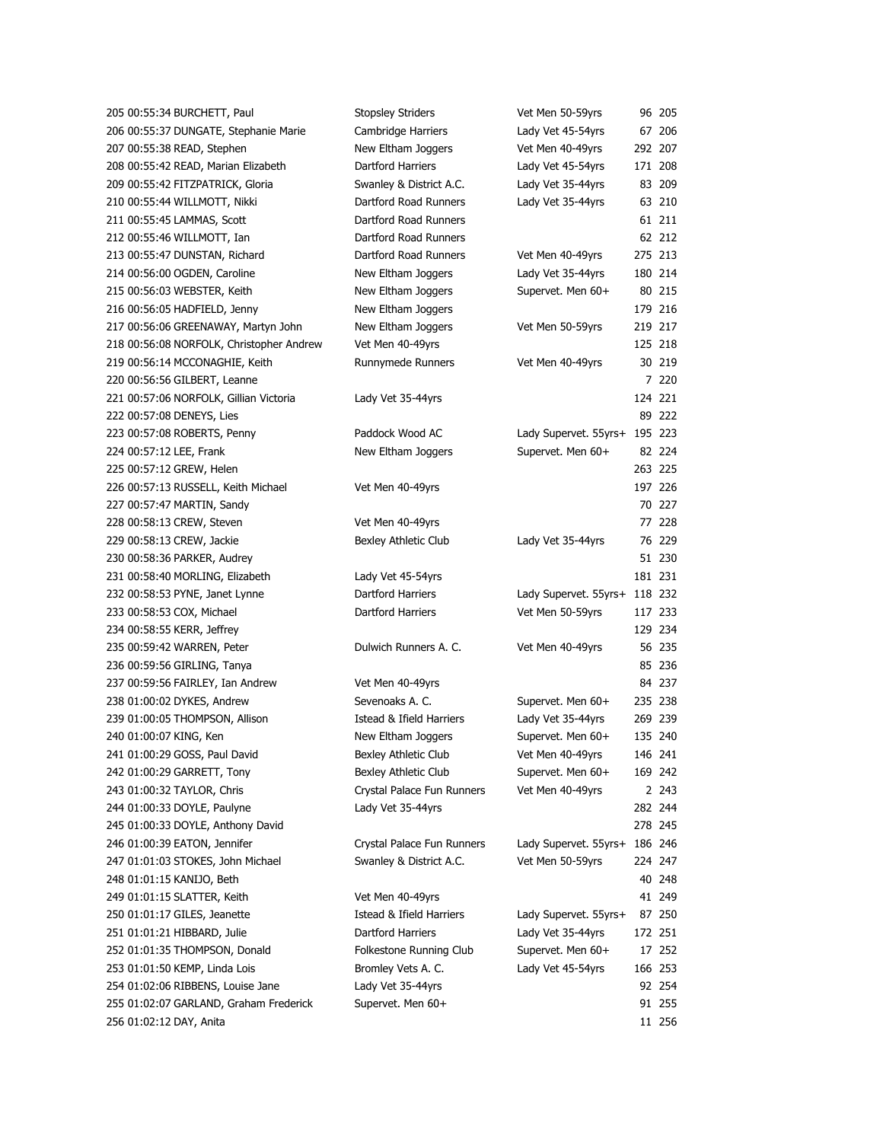| 205 00:55:34 BURCHETT, Paul              | <b>Stopsley Striders</b>            | Vet Men 50-59yrs              |         | 96 205  |
|------------------------------------------|-------------------------------------|-------------------------------|---------|---------|
| 206 00:55:37 DUNGATE, Stephanie Marie    | Cambridge Harriers                  | Lady Vet 45-54yrs             |         | 67 206  |
| 207 00:55:38 READ, Stephen               | New Eltham Joggers                  | Vet Men 40-49yrs              | 292 207 |         |
| 208 00:55:42 READ, Marian Elizabeth      | Dartford Harriers                   | Lady Vet 45-54yrs             | 171 208 |         |
| 209 00:55:42 FITZPATRICK, Gloria         | Swanley & District A.C.             | Lady Vet 35-44yrs             |         | 83 209  |
| 210 00:55:44 WILLMOTT, Nikki             | Dartford Road Runners               | Lady Vet 35-44yrs             |         | 63 210  |
| 211 00:55:45 LAMMAS, Scott               | Dartford Road Runners               |                               |         | 61 211  |
| 212 00:55:46 WILLMOTT, Ian               | Dartford Road Runners               |                               |         | 62 212  |
| 213 00:55:47 DUNSTAN, Richard            | Dartford Road Runners               | Vet Men 40-49yrs              | 275 213 |         |
| 214 00:56:00 OGDEN, Caroline             | New Eltham Joggers                  | Lady Vet 35-44yrs             | 180 214 |         |
| 215 00:56:03 WEBSTER, Keith              | New Eltham Joggers                  | Supervet. Men 60+             |         | 80 215  |
| 216 00:56:05 HADFIELD, Jenny             | New Eltham Joggers                  |                               | 179 216 |         |
| 217 00:56:06 GREENAWAY, Martyn John      | New Eltham Joggers                  | Vet Men 50-59yrs              | 219 217 |         |
| 218 00:56:08 NORFOLK, Christopher Andrew | Vet Men 40-49yrs                    |                               | 125 218 |         |
| 219 00:56:14 MCCONAGHIE, Keith           | Runnymede Runners                   | Vet Men 40-49yrs              |         | 30 219  |
| 220 00:56:56 GILBERT, Leanne             |                                     |                               |         | 7 220   |
| 221 00:57:06 NORFOLK, Gillian Victoria   | Lady Vet 35-44yrs                   |                               | 124 221 |         |
| 222 00:57:08 DENEYS, Lies                |                                     |                               |         | 89 222  |
| 223 00:57:08 ROBERTS, Penny              | Paddock Wood AC                     | Lady Supervet. 55yrs+ 195 223 |         |         |
| 224 00:57:12 LEE, Frank                  | New Eltham Joggers                  | Supervet. Men 60+             |         | 82 224  |
| 225 00:57:12 GREW, Helen                 |                                     |                               | 263 225 |         |
| 226 00:57:13 RUSSELL, Keith Michael      | Vet Men 40-49yrs                    |                               | 197 226 |         |
| 227 00:57:47 MARTIN, Sandy               |                                     |                               |         | 70 227  |
| 228 00:58:13 CREW, Steven                | Vet Men 40-49yrs                    |                               |         | 77 228  |
| 229 00:58:13 CREW, Jackie                | Bexley Athletic Club                | Lady Vet 35-44yrs             |         | 76 229  |
| 230 00:58:36 PARKER, Audrey              |                                     |                               |         | 51 230  |
| 231 00:58:40 MORLING, Elizabeth          | Lady Vet 45-54yrs                   |                               | 181 231 |         |
| 232 00:58:53 PYNE, Janet Lynne           | Dartford Harriers                   | Lady Supervet. 55yrs+         | 118 232 |         |
| 233 00:58:53 COX, Michael                | Dartford Harriers                   | Vet Men 50-59yrs              | 117 233 |         |
| 234 00:58:55 KERR, Jeffrey               |                                     |                               | 129 234 |         |
| 235 00:59:42 WARREN, Peter               | Dulwich Runners A. C.               | Vet Men 40-49yrs              |         | 56 235  |
| 236 00:59:56 GIRLING, Tanya              |                                     |                               |         | 85 236  |
|                                          |                                     |                               |         | 84 237  |
| 237 00:59:56 FAIRLEY, Ian Andrew         | Vet Men 40-49yrs<br>Sevenoaks A. C. | Supervet. Men 60+             | 235 238 |         |
| 238 01:00:02 DYKES, Andrew               |                                     |                               |         |         |
| 239 01:00:05 THOMPSON, Allison           | Istead & Ifield Harriers            | Lady Vet 35-44yrs             | 269 239 |         |
| 240 01:00:07 KING, Ken                   | New Eltham Joggers                  | Supervet. Men 60+             | 135 240 |         |
| 241 01:00:29 GOSS, Paul David            | Bexley Athletic Club                | Vet Men 40-49yrs              | 146 241 |         |
| 242 01:00:29 GARRETT, Tony               | Bexley Athletic Club                | Supervet. Men 60+             | 169 242 |         |
| 243 01:00:32 TAYLOR, Chris               | Crystal Palace Fun Runners          | Vet Men 40-49yrs              |         | 2 2 4 3 |
| 244 01:00:33 DOYLE, Paulyne              | Lady Vet 35-44yrs                   |                               | 282 244 |         |
| 245 01:00:33 DOYLE, Anthony David        |                                     |                               | 278 245 |         |
| 246 01:00:39 EATON, Jennifer             | Crystal Palace Fun Runners          | Lady Supervet. 55yrs+         | 186 246 |         |
| 247 01:01:03 STOKES, John Michael        | Swanley & District A.C.             | Vet Men 50-59yrs              | 224 247 |         |
| 248 01:01:15 KANIJO, Beth                |                                     |                               |         | 40 248  |
| 249 01:01:15 SLATTER, Keith              | Vet Men 40-49yrs                    |                               |         | 41 249  |
| 250 01:01:17 GILES, Jeanette             | Istead & Ifield Harriers            | Lady Supervet. 55yrs+         |         | 87 250  |
| 251 01:01:21 HIBBARD, Julie              | Dartford Harriers                   | Lady Vet 35-44yrs             | 172 251 |         |
| 252 01:01:35 THOMPSON, Donald            | Folkestone Running Club             | Supervet. Men 60+             |         | 17 252  |
| 253 01:01:50 KEMP, Linda Lois            | Bromley Vets A. C.                  | Lady Vet 45-54yrs             | 166 253 |         |
| 254 01:02:06 RIBBENS, Louise Jane        | Lady Vet 35-44yrs                   |                               |         | 92 254  |
| 255 01:02:07 GARLAND, Graham Frederick   | Supervet. Men 60+                   |                               |         | 91 255  |
| 256 01:02:12 DAY, Anita                  |                                     |                               |         | 11 256  |
|                                          |                                     |                               |         |         |